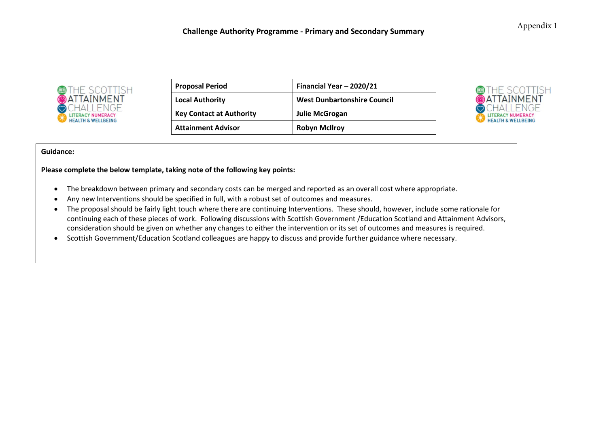

| <b>Proposal Period</b>          | Financial Year - 2020/21           |
|---------------------------------|------------------------------------|
| <b>Local Authority</b>          | <b>West Dunbartonshire Council</b> |
| <b>Key Contact at Authority</b> | <b>Julie McGrogan</b>              |
| <b>Attainment Advisor</b>       | <b>Robyn McIlroy</b>               |



#### **Guidance:**

**Please complete the below template, taking note of the following key points:**

- The breakdown between primary and secondary costs can be merged and reported as an overall cost where appropriate.
- Any new Interventions should be specified in full, with a robust set of outcomes and measures.
- The proposal should be fairly light touch where there are continuing Interventions. These should, however, include some rationale for continuing each of these pieces of work. Following discussions with Scottish Government /Education Scotland and Attainment Advisors, consideration should be given on whether any changes to either the intervention or its set of outcomes and measures is required.
- Scottish Government/Education Scotland colleagues are happy to discuss and provide further guidance where necessary.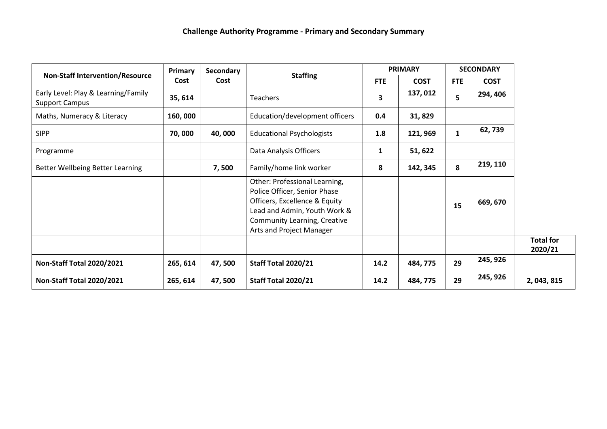|                                                              | Primary  | Secondary | <b>Staffing</b>                                                                                                                                                                            |            |             | <b>PRIMARY</b> |             | <b>SECONDARY</b>            |  |
|--------------------------------------------------------------|----------|-----------|--------------------------------------------------------------------------------------------------------------------------------------------------------------------------------------------|------------|-------------|----------------|-------------|-----------------------------|--|
| <b>Non-Staff Intervention/Resource</b>                       | Cost     | Cost      |                                                                                                                                                                                            | <b>FTE</b> | <b>COST</b> | <b>FTE</b>     | <b>COST</b> |                             |  |
| Early Level: Play & Learning/Family<br><b>Support Campus</b> | 35, 614  |           | Teachers                                                                                                                                                                                   | 3          | 137,012     | 5              | 294, 406    |                             |  |
| Maths, Numeracy & Literacy                                   | 160,000  |           | Education/development officers                                                                                                                                                             | 0.4        | 31,829      |                |             |                             |  |
| <b>SIPP</b>                                                  | 70,000   | 40,000    | <b>Educational Psychologists</b>                                                                                                                                                           | 1.8        | 121, 969    | 1              | 62, 739     |                             |  |
| Programme                                                    |          |           | Data Analysis Officers                                                                                                                                                                     | 1          | 51, 622     |                |             |                             |  |
| Better Wellbeing Better Learning                             |          | 7,500     | Family/home link worker                                                                                                                                                                    | 8          | 142, 345    | 8              | 219, 110    |                             |  |
|                                                              |          |           | Other: Professional Learning,<br>Police Officer, Senior Phase<br>Officers, Excellence & Equity<br>Lead and Admin, Youth Work &<br>Community Learning, Creative<br>Arts and Project Manager |            |             | 15             | 669, 670    |                             |  |
|                                                              |          |           |                                                                                                                                                                                            |            |             |                |             | <b>Total for</b><br>2020/21 |  |
| <b>Non-Staff Total 2020/2021</b>                             | 265, 614 | 47,500    | <b>Staff Total 2020/21</b>                                                                                                                                                                 | 14.2       | 484, 775    | 29             | 245, 926    |                             |  |
| <b>Non-Staff Total 2020/2021</b>                             | 265, 614 | 47, 500   | <b>Staff Total 2020/21</b>                                                                                                                                                                 | 14.2       | 484, 775    | 29             | 245, 926    | 2, 043, 815                 |  |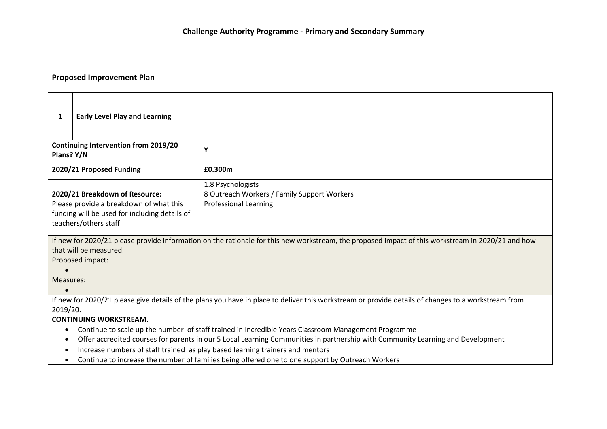# **Proposed Improvement Plan**

| <b>Early Level Play and Learning</b><br>1                                                                                                                                                                                                                                                                                                                                                                                                                                                                                                                                                                                            |  |  |  |
|--------------------------------------------------------------------------------------------------------------------------------------------------------------------------------------------------------------------------------------------------------------------------------------------------------------------------------------------------------------------------------------------------------------------------------------------------------------------------------------------------------------------------------------------------------------------------------------------------------------------------------------|--|--|--|
| <b>Continuing Intervention from 2019/20</b><br>Υ<br>Plans? Y/N                                                                                                                                                                                                                                                                                                                                                                                                                                                                                                                                                                       |  |  |  |
| 2020/21 Proposed Funding<br>£0.300m                                                                                                                                                                                                                                                                                                                                                                                                                                                                                                                                                                                                  |  |  |  |
| 1.8 Psychologists<br>2020/21 Breakdown of Resource:<br>8 Outreach Workers / Family Support Workers<br>Please provide a breakdown of what this<br><b>Professional Learning</b><br>funding will be used for including details of<br>teachers/others staff                                                                                                                                                                                                                                                                                                                                                                              |  |  |  |
| If new for 2020/21 please provide information on the rationale for this new workstream, the proposed impact of this workstream in 2020/21 and how<br>that will be measured.<br>Proposed impact:<br>Measures:                                                                                                                                                                                                                                                                                                                                                                                                                         |  |  |  |
| If new for 2020/21 please give details of the plans you have in place to deliver this workstream or provide details of changes to a workstream from<br>2019/20.<br><b>CONTINUING WORKSTREAM.</b><br>Continue to scale up the number of staff trained in Incredible Years Classroom Management Programme<br>٠<br>Offer accredited courses for parents in our 5 Local Learning Communities in partnership with Community Learning and Development<br>Increase numbers of staff trained as play based learning trainers and mentors<br>Continue to increase the number of families being offered one to one support by Outreach Workers |  |  |  |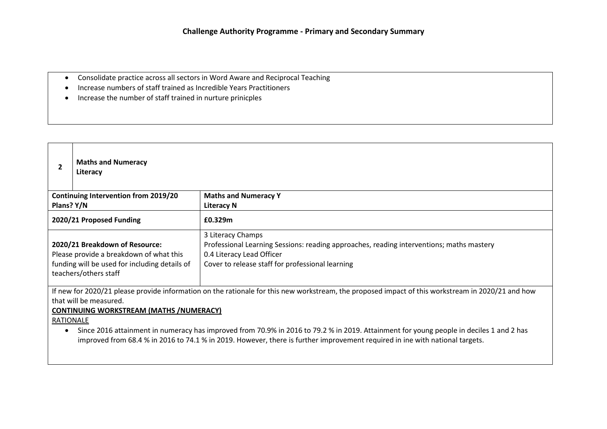- Consolidate practice across all sectors in Word Aware and Reciprocal Teaching
- Increase numbers of staff trained as Incredible Years Practitioners
- Increase the number of staff trained in nurture prinicples

| 2                                                                                                                                                                                                                                                         | <b>Maths and Numeracy</b><br>Literacy       |                                                                                          |  |
|-----------------------------------------------------------------------------------------------------------------------------------------------------------------------------------------------------------------------------------------------------------|---------------------------------------------|------------------------------------------------------------------------------------------|--|
|                                                                                                                                                                                                                                                           | <b>Continuing Intervention from 2019/20</b> | <b>Maths and Numeracy Y</b>                                                              |  |
| Plans? Y/N                                                                                                                                                                                                                                                |                                             | <b>Literacy N</b>                                                                        |  |
|                                                                                                                                                                                                                                                           | 2020/21 Proposed Funding                    | £0.329m                                                                                  |  |
| 3 Literacy Champs<br>2020/21 Breakdown of Resource:<br>0.4 Literacy Lead Officer<br>Please provide a breakdown of what this<br>funding will be used for including details of<br>Cover to release staff for professional learning<br>teachers/others staff |                                             | Professional Learning Sessions: reading approaches, reading interventions; maths mastery |  |
| If new for 2020/21 please provide information on the rationale for this new workstream, the proposed impact of this workstream in 2020/21 and how<br>that will be measured.<br><b>CONTINUING WORKSTREAM (MATHS /NUMERACY)</b><br>RATIONALE                |                                             |                                                                                          |  |
| Since 2016 attainment in numeracy has improved from 70.9% in 2016 to 79.2 % in 2019. Attainment for young people in deciles 1 and 2 has                                                                                                                   |                                             |                                                                                          |  |

improved from 68.4 % in 2016 to 74.1 % in 2019. However, there is further improvement required in ine with national targets.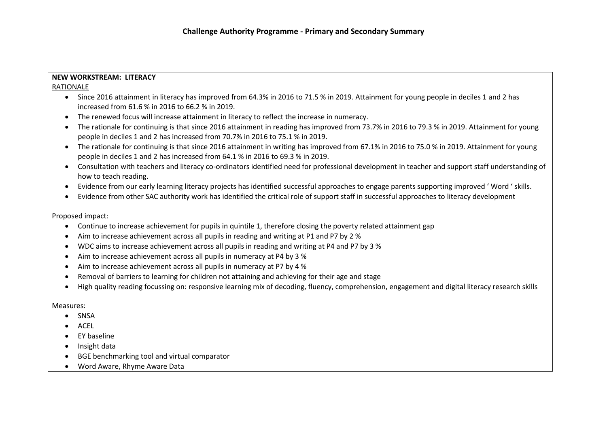# **NEW WORKSTREAM: LITERACY**

# RATIONALE

- Since 2016 attainment in literacy has improved from 64.3% in 2016 to 71.5 % in 2019. Attainment for young people in deciles 1 and 2 has increased from 61.6 % in 2016 to 66.2 % in 2019.
- The renewed focus will increase attainment in literacy to reflect the increase in numeracy.
- The rationale for continuing is that since 2016 attainment in reading has improved from 73.7% in 2016 to 79.3 % in 2019. Attainment for young people in deciles 1 and 2 has increased from 70.7% in 2016 to 75.1 % in 2019.
- The rationale for continuing is that since 2016 attainment in writing has improved from 67.1% in 2016 to 75.0 % in 2019. Attainment for young people in deciles 1 and 2 has increased from 64.1 % in 2016 to 69.3 % in 2019.
- Consultation with teachers and literacy co-ordinators identified need for professional development in teacher and support staff understanding of how to teach reading.
- Evidence from our early learning literacy projects has identified successful approaches to engage parents supporting improved ' Word ' skills.
- Evidence from other SAC authority work has identified the critical role of support staff in successful approaches to literacy development

# Proposed impact:

- Continue to increase achievement for pupils in quintile 1, therefore closing the poverty related attainment gap
- Aim to increase achievement across all pupils in reading and writing at P1 and P7 by 2 %
- WDC aims to increase achievement across all pupils in reading and writing at P4 and P7 by 3 %
- Aim to increase achievement across all pupils in numeracy at P4 by 3 %
- Aim to increase achievement across all pupils in numeracy at P7 by 4 %
- Removal of barriers to learning for children not attaining and achieving for their age and stage
- High quality reading focussing on: responsive learning mix of decoding, fluency, comprehension, engagement and digital literacy research skills

#### Measures:

- SNSA
- ACEL
- EY baseline
- Insight data
- BGE benchmarking tool and virtual comparator
- Word Aware, Rhyme Aware Data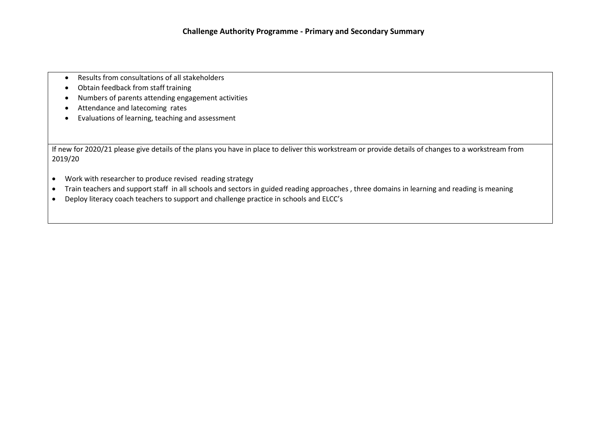- Results from consultations of all stakeholders
- Obtain feedback from staff training
- Numbers of parents attending engagement activities
- Attendance and latecoming rates
- Evaluations of learning, teaching and assessment

If new for 2020/21 please give details of the plans you have in place to deliver this workstream or provide details of changes to a workstream from 2019/20

- Work with researcher to produce revised reading strategy
- Train teachers and support staff in all schools and sectors in guided reading approaches , three domains in learning and reading is meaning
- Deploy literacy coach teachers to support and challenge practice in schools and ELCC's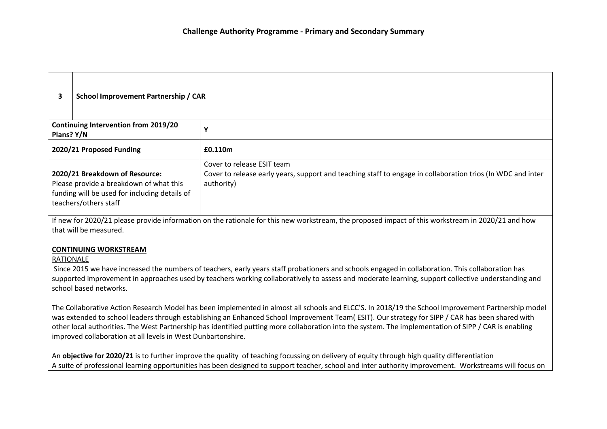| З.                                                                                                                                                                          | School Improvement Partnership / CAR                                                                                                                |                                                                                                                                                         |  |
|-----------------------------------------------------------------------------------------------------------------------------------------------------------------------------|-----------------------------------------------------------------------------------------------------------------------------------------------------|---------------------------------------------------------------------------------------------------------------------------------------------------------|--|
| Plans? Y/N                                                                                                                                                                  | <b>Continuing Intervention from 2019/20</b>                                                                                                         |                                                                                                                                                         |  |
|                                                                                                                                                                             | 2020/21 Proposed Funding                                                                                                                            | £0.110m                                                                                                                                                 |  |
|                                                                                                                                                                             | 2020/21 Breakdown of Resource:<br>Please provide a breakdown of what this<br>funding will be used for including details of<br>teachers/others staff | Cover to release ESIT team<br>Cover to release early years, support and teaching staff to engage in collaboration trios (In WDC and inter<br>authority) |  |
| If new for 2020/21 please provide information on the rationale for this new workstream, the proposed impact of this workstream in 2020/21 and how<br>that will be measured. |                                                                                                                                                     |                                                                                                                                                         |  |

**CONTINUING WORKSTREAM**

# RATIONALE

Since 2015 we have increased the numbers of teachers, early years staff probationers and schools engaged in collaboration. This collaboration has supported improvement in approaches used by teachers working collaboratively to assess and moderate learning, support collective understanding and school based networks.

The Collaborative Action Research Model has been implemented in almost all schools and ELCC'S. In 2018/19 the School Improvement Partnership model was extended to school leaders through establishing an Enhanced School Improvement Team( ESIT). Our strategy for SIPP / CAR has been shared with other local authorities. The West Partnership has identified putting more collaboration into the system. The implementation of SIPP / CAR is enabling improved collaboration at all levels in West Dunbartonshire.

An **objective for 2020/21** is to further improve the quality of teaching focussing on delivery of equity through high quality differentiation A suite of professional learning opportunities has been designed to support teacher, school and inter authority improvement. Workstreams will focus on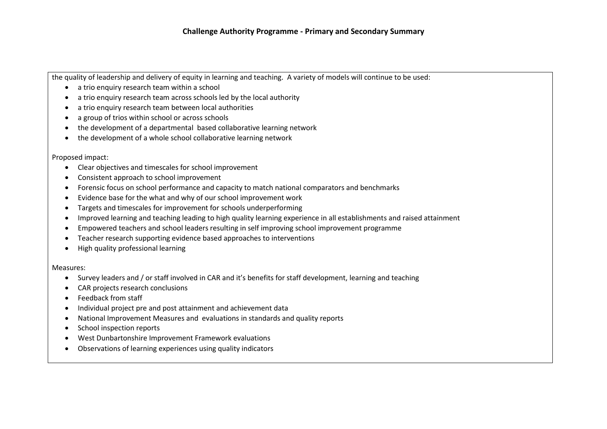the quality of leadership and delivery of equity in learning and teaching. A variety of models will continue to be used:

- a trio enquiry research team within a school
- a trio enquiry research team across schools led by the local authority
- a trio enquiry research team between local authorities
- a group of trios within school or across schools
- the development of a departmental based collaborative learning network
- the development of a whole school collaborative learning network

#### Proposed impact:

- Clear objectives and timescales for school improvement
- Consistent approach to school improvement
- Forensic focus on school performance and capacity to match national comparators and benchmarks
- Evidence base for the what and why of our school improvement work
- Targets and timescales for improvement for schools underperforming
- Improved learning and teaching leading to high quality learning experience in all establishments and raised attainment
- Empowered teachers and school leaders resulting in self improving school improvement programme
- Teacher research supporting evidence based approaches to interventions
- High quality professional learning

#### Measures:

- Survey leaders and / or staff involved in CAR and it's benefits for staff development, learning and teaching
- CAR projects research conclusions
- Feedback from staff
- Individual project pre and post attainment and achievement data
- National Improvement Measures and evaluations in standards and quality reports
- School inspection reports
- West Dunbartonshire Improvement Framework evaluations
- Observations of learning experiences using quality indicators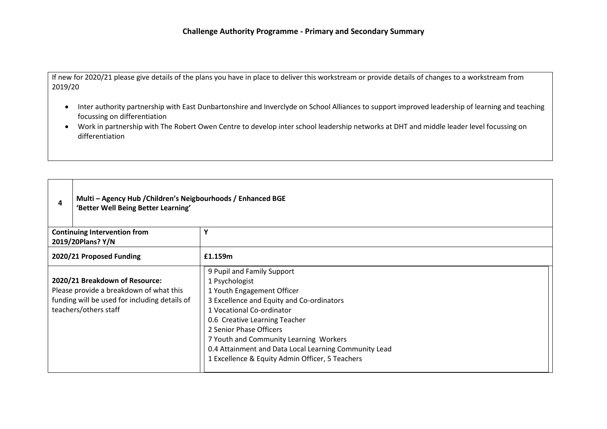If new for 2020/21 please give details of the plans you have in place to deliver this workstream or provide details of changes to a workstream from 2019/20

- Inter authority partnership with East Dunbartonshire and Inverclyde on School Alliances to support improved leadership of learning and teaching focussing on differentiation
- Work in partnership with The Robert Owen Centre to develop inter school leadership networks at DHT and middle leader level focussing on differentiation

| 4                                                                                                                                                   | Multi - Agency Hub / Children's Neigbourhoods / Enhanced BGE<br>'Better Well Being Better Learning' |                                                                                                                                                                                                                                                                                                                                                                        |  |
|-----------------------------------------------------------------------------------------------------------------------------------------------------|-----------------------------------------------------------------------------------------------------|------------------------------------------------------------------------------------------------------------------------------------------------------------------------------------------------------------------------------------------------------------------------------------------------------------------------------------------------------------------------|--|
|                                                                                                                                                     | <b>Continuing Intervention from</b><br>2019/20Plans? Y/N                                            | v                                                                                                                                                                                                                                                                                                                                                                      |  |
|                                                                                                                                                     | 2020/21 Proposed Funding                                                                            | £1.159m                                                                                                                                                                                                                                                                                                                                                                |  |
| 2020/21 Breakdown of Resource:<br>Please provide a breakdown of what this<br>funding will be used for including details of<br>teachers/others staff |                                                                                                     | 9 Pupil and Family Support<br>1 Psychologist<br>1 Youth Engagement Officer<br>3 Excellence and Equity and Co-ordinators<br>1 Vocational Co-ordinator<br>0.6 Creative Learning Teacher<br>2 Senior Phase Officers<br>7 Youth and Community Learning Workers<br>0.4 Attainment and Data Local Learning Community Lead<br>1 Excellence & Equity Admin Officer, 5 Teachers |  |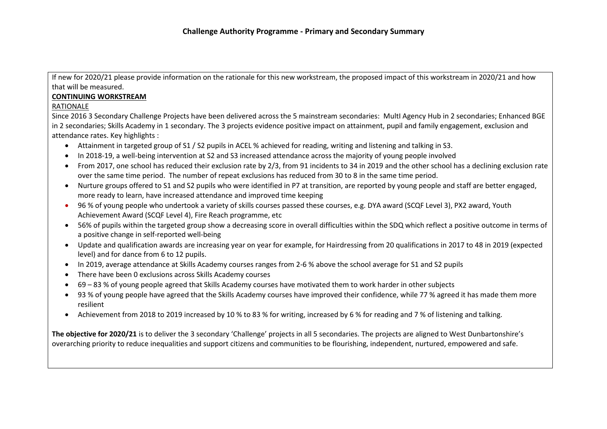If new for 2020/21 please provide information on the rationale for this new workstream, the proposed impact of this workstream in 2020/21 and how that will be measured.

# **CONTINUING WORKSTREAM**

# RATIONALE

Since 2016 3 Secondary Challenge Projects have been delivered across the 5 mainstream secondaries: MultI Agency Hub in 2 secondaries; Enhanced BGE in 2 secondaries; Skills Academy in 1 secondary. The 3 projects evidence positive impact on attainment, pupil and family engagement, exclusion and attendance rates. Key highlights :

- Attainment in targeted group of S1 / S2 pupils in ACEL % achieved for reading, writing and listening and talking in S3.
- In 2018-19, a well-being intervention at S2 and S3 increased attendance across the majority of young people involved
- From 2017, one school has reduced their exclusion rate by 2/3, from 91 incidents to 34 in 2019 and the other school has a declining exclusion rate over the same time period. The number of repeat exclusions has reduced from 30 to 8 in the same time period.
- Nurture groups offered to S1 and S2 pupils who were identified in P7 at transition, are reported by young people and staff are better engaged, more ready to learn, have increased attendance and improved time keeping
- 96 % of young people who undertook a variety of skills courses passed these courses, e.g. DYA award (SCQF Level 3), PX2 award, Youth Achievement Award (SCQF Level 4), Fire Reach programme, etc
- 56% of pupils within the targeted group show a decreasing score in overall difficulties within the SDQ which reflect a positive outcome in terms of a positive change in self-reported well-being
- Update and qualification awards are increasing year on year for example, for Hairdressing from 20 qualifications in 2017 to 48 in 2019 (expected level) and for dance from 6 to 12 pupils.
- In 2019, average attendance at Skills Academy courses ranges from 2-6 % above the school average for S1 and S2 pupils
- There have been 0 exclusions across Skills Academy courses
- 69 83 % of young people agreed that Skills Academy courses have motivated them to work harder in other subjects
- 93 % of young people have agreed that the Skills Academy courses have improved their confidence, while 77 % agreed it has made them more resilient
- Achievement from 2018 to 2019 increased by 10 % to 83 % for writing, increased by 6 % for reading and 7 % of listening and talking.

**The objective for 2020/21** is to deliver the 3 secondary 'Challenge' projects in all 5 secondaries. The projects are aligned to West Dunbartonshire's overarching priority to reduce inequalities and support citizens and communities to be flourishing, independent, nurtured, empowered and safe.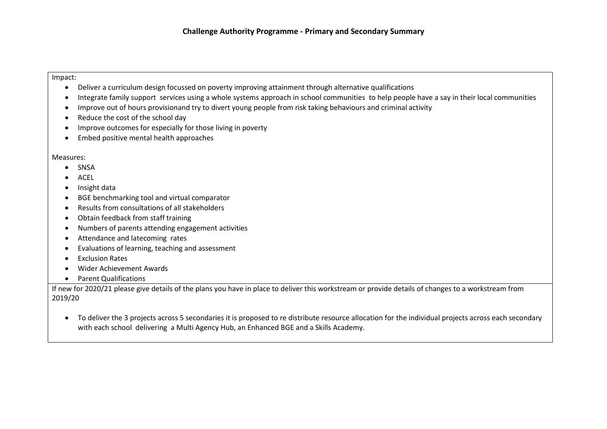#### Impact:

- Deliver a curriculum design focussed on poverty improving attainment through alternative qualifications
- Integrate family support services using a whole systems approach in school communities to help people have a say in their local communities
- Improve out of hours provisionand try to divert young people from risk taking behaviours and criminal activity
- Reduce the cost of the school day
- Improve outcomes for especially for those living in poverty
- Embed positive mental health approaches

### Measures:

- SNSA
- ACEL
- Insight data
- BGE benchmarking tool and virtual comparator
- Results from consultations of all stakeholders
- Obtain feedback from staff training
- Numbers of parents attending engagement activities
- Attendance and latecoming rates
- Evaluations of learning, teaching and assessment
- Exclusion Rates
- Wider Achievement Awards
- Parent Qualifications

If new for 2020/21 please give details of the plans you have in place to deliver this workstream or provide details of changes to a workstream from 2019/20

• To deliver the 3 projects across 5 secondaries it is proposed to re distribute resource allocation for the individual projects across each secondary with each school delivering a Multi Agency Hub, an Enhanced BGE and a Skills Academy.